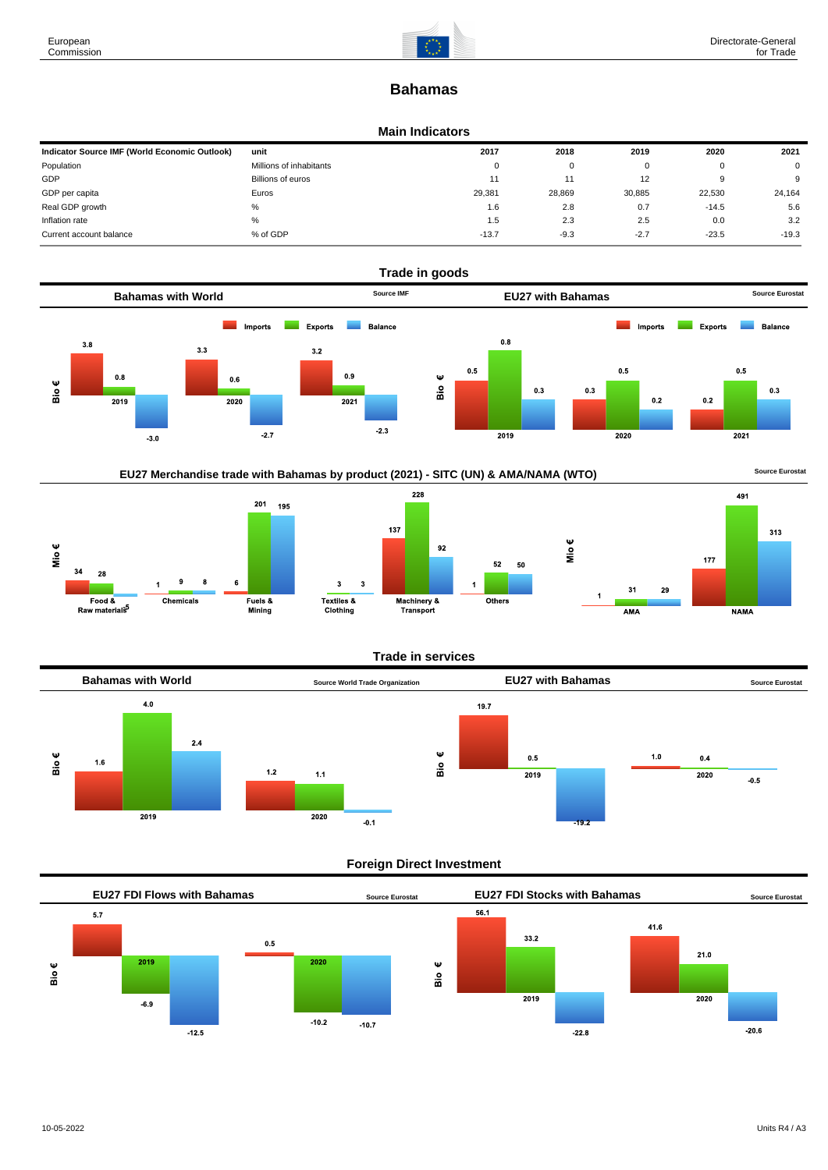

# **Bahamas**

### **Main Indicators**

| Indicator Source IMF (World Economic Outlook) | unit                    | 2017     | 2018   | 2019              | 2020    | 2021     |
|-----------------------------------------------|-------------------------|----------|--------|-------------------|---------|----------|
| Population                                    | Millions of inhabitants | $^{(1)}$ | 0      | 0                 |         | $\Omega$ |
| GDP                                           | Billions of euros       | 11       |        | $12 \overline{ }$ |         | 9        |
| GDP per capita                                | Euros                   | 29.381   | 28,869 | 30,885            | 22.530  | 24,164   |
| Real GDP growth                               | %                       | 1.6      | 2.8    | 0.7               | $-14.5$ | 5.6      |
| Inflation rate                                | %                       | 1.5      | 2.3    | 2.5               | 0.0     | 3.2      |
| Current account balance                       | % of GDP                | $-13.7$  | $-9.3$ | $-2.7$            | $-23.5$ | $-19.3$  |



EU27 Merchandise trade with Bahamas by product (2021) - SITC (UN) & AMA/NAMA (WTO) **Source Eurostat** 







### **Trade in services**

 $52$ 50

Others



# **Foreign Direct Investment**